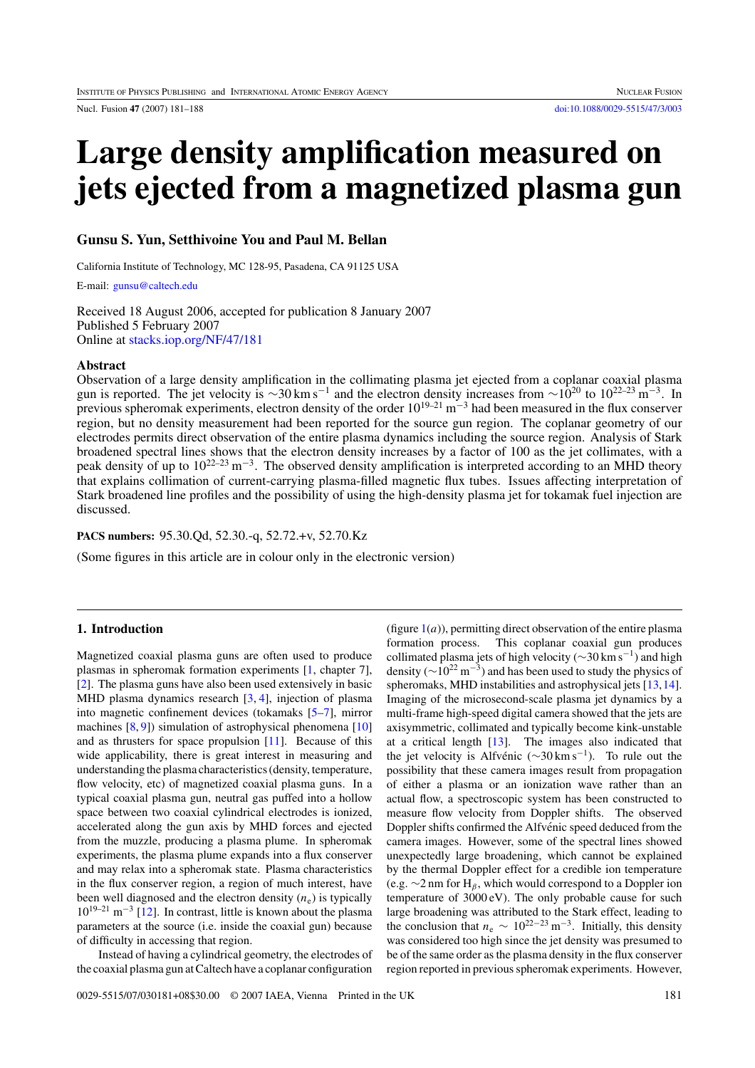<span id="page-0-0"></span>

# **Large density amplification measured on jets ejected from a magnetized plasma gun**

# **Gunsu S. Yun, Setthivoine You and Paul M. Bellan**

California Institute of Technology, MC 128-95, Pasadena, CA 91125 USA

E-mail: [gunsu@caltech.edu](mailto: gunsu@caltech.edu)

Received 18 August 2006, accepted for publication 8 January 2007 Published 5 February 2007 Online at [stacks.iop.org/NF/47/181](http://stacks.iop.org/nf/47/181)

# **Abstract**

Observation of a large density amplification in the collimating plasma jet ejected from a coplanar coaxial plasma gun is reported. The jet velocity is ~30 km s<sup>-1</sup> and the electron density increases from ~10<sup>20</sup> to 10<sup>22–23</sup> m<sup>-3</sup>. In previous spheromak experiments, electron density of the order  $10^{19-21}$  m<sup>-3</sup> had been measured in the flux conserver region, but no density measurement had been reported for the source gun region. The coplanar geometry of our electrodes permits direct observation of the entire plasma dynamics including the source region. Analysis of Stark broadened spectral lines shows that the electron density increases by a factor of 100 as the jet collimates, with a peak density of up to  $10^{22-23}$  m<sup>-3</sup>. The observed density amplification is interpreted according to an MHD theory that explains collimation of current-carrying plasma-filled magnetic flux tubes. Issues affecting interpretation of Stark broadened line profiles and the possibility of using the high-density plasma jet for tokamak fuel injection are discussed.

**PACS numbers:** 95.30.Qd, 52.30.-q, 52.72.+v, 52.70.Kz

(Some figures in this article are in colour only in the electronic version)

# **1. Introduction**

Magnetized coaxial plasma guns are often used to produce plasmas in spheromak formation experiments [\[1,](#page-6-0) chapter 7], [\[2\]](#page-6-0). The plasma guns have also been used extensively in basic MHD plasma dynamics research [\[3,](#page-6-0) [4\]](#page-6-0), injection of plasma into magnetic confinement devices (tokamaks [\[5–7\]](#page-6-0), mirror machines [\[8,](#page-6-0) [9\]](#page-7-0)) simulation of astrophysical phenomena [\[10\]](#page-7-0) and as thrusters for space propulsion [\[11\]](#page-7-0). Because of this wide applicability, there is great interest in measuring and understanding the plasma characteristics (density, temperature, flow velocity, etc) of magnetized coaxial plasma guns. In a typical coaxial plasma gun, neutral gas puffed into a hollow space between two coaxial cylindrical electrodes is ionized, accelerated along the gun axis by MHD forces and ejected from the muzzle, producing a plasma plume. In spheromak experiments, the plasma plume expands into a flux conserver and may relax into a spheromak state. Plasma characteristics in the flux conserver region, a region of much interest, have been well diagnosed and the electron density  $(n_e)$  is typically  $10^{19-21}$  m<sup>-3</sup> [\[12\]](#page-7-0). In contrast, little is known about the plasma parameters at the source (i.e. inside the coaxial gun) because of difficulty in accessing that region.

Instead of having a cylindrical geometry, the electrodes of the coaxial plasma gun at Caltech have a coplanar configuration

(figure  $1(a)$  $1(a)$ ), permitting direct observation of the entire plasma formation process. This coplanar coaxial gun produces collimated plasma jets of high velocity ( $\sim$ 30 km s<sup>-1</sup>) and high density ( $\sim$ 10<sup>22</sup> m<sup>-3</sup>) and has been used to study the physics of spheromaks, MHD instabilities and astrophysical jets [\[13,14\]](#page-7-0). Imaging of the microsecond-scale plasma jet dynamics by a multi-frame high-speed digital camera showed that the jets are axisymmetric, collimated and typically become kink-unstable at a critical length [\[13\]](#page-7-0). The images also indicated that the jet velocity is Alfvénic ( $\sim$ 30 km s<sup>-1</sup>). To rule out the possibility that these camera images result from propagation of either a plasma or an ionization wave rather than an actual flow, a spectroscopic system has been constructed to measure flow velocity from Doppler shifts. The observed Doppler shifts confirmed the Alfvénic speed deduced from the camera images. However, some of the spectral lines showed unexpectedly large broadening, which cannot be explained by the thermal Doppler effect for a credible ion temperature (e.g. ∼2 nm for H*<sup>β</sup>* , which would correspond to a Doppler ion temperature of 3000 eV). The only probable cause for such large broadening was attributed to the Stark effect, leading to the conclusion that  $n_e \sim 10^{22-23} \text{ m}^{-3}$ . Initially, this density was considered too high since the jet density was presumed to be of the same order as the plasma density in the flux conserver region reported in previous spheromak experiments. However,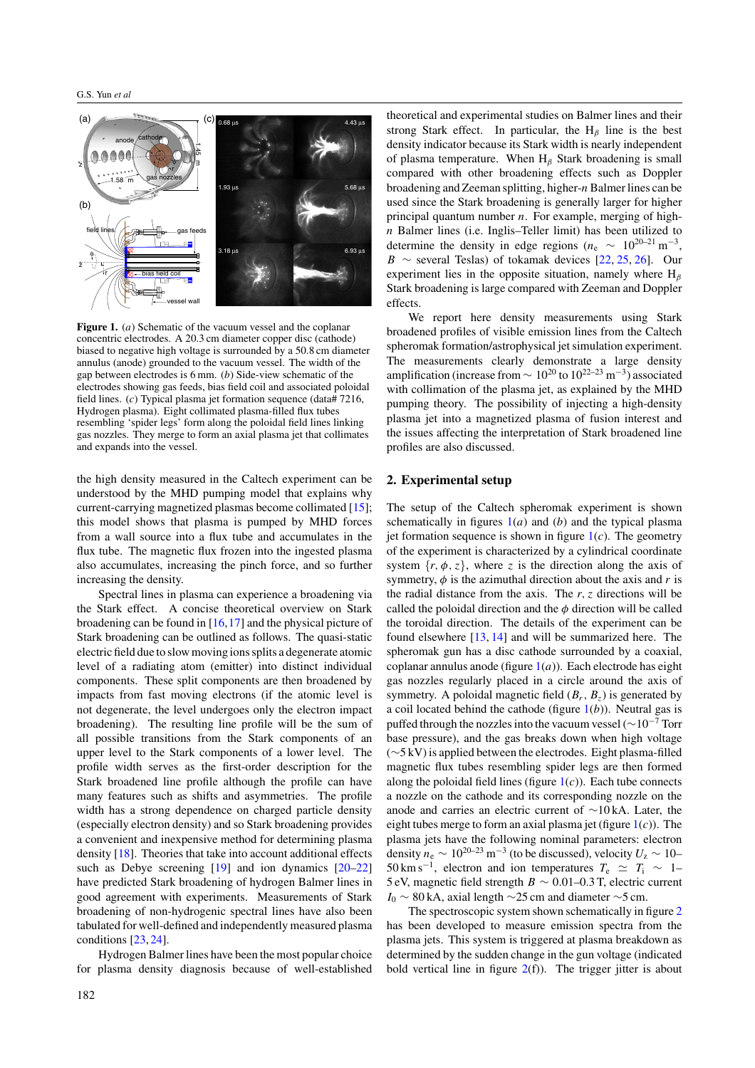<span id="page-1-0"></span>

**Figure 1.** (*a*) Schematic of the vacuum vessel and the coplanar concentric electrodes. A 20.3 cm diameter copper disc (cathode) biased to negative high voltage is surrounded by a 50.8 cm diameter annulus (anode) grounded to the vacuum vessel. The width of the gap between electrodes is 6 mm. (*b*) Side-view schematic of the electrodes showing gas feeds, bias field coil and associated poloidal field lines. (*c*) Typical plasma jet formation sequence (data# 7216, Hydrogen plasma). Eight collimated plasma-filled flux tubes resembling 'spider legs' form along the poloidal field lines linking gas nozzles. They merge to form an axial plasma jet that collimates and expands into the vessel.

the high density measured in the Caltech experiment can be understood by the MHD pumping model that explains why current-carrying magnetized plasmas become collimated [\[15\]](#page-7-0); this model shows that plasma is pumped by MHD forces from a wall source into a flux tube and accumulates in the flux tube. The magnetic flux frozen into the ingested plasma also accumulates, increasing the pinch force, and so further increasing the density.

Spectral lines in plasma can experience a broadening via the Stark effect. A concise theoretical overview on Stark broadening can be found in [\[16,17\]](#page-7-0) and the physical picture of Stark broadening can be outlined as follows. The quasi-static electric field due to slow moving ions splits a degenerate atomic level of a radiating atom (emitter) into distinct individual components. These split components are then broadened by impacts from fast moving electrons (if the atomic level is not degenerate, the level undergoes only the electron impact broadening). The resulting line profile will be the sum of all possible transitions from the Stark components of an upper level to the Stark components of a lower level. The profile width serves as the first-order description for the Stark broadened line profile although the profile can have many features such as shifts and asymmetries. The profile width has a strong dependence on charged particle density (especially electron density) and so Stark broadening provides a convenient and inexpensive method for determining plasma density [\[18\]](#page-7-0). Theories that take into account additional effects such as Debye screening [\[19\]](#page-7-0) and ion dynamics [\[20–22\]](#page-7-0) have predicted Stark broadening of hydrogen Balmer lines in good agreement with experiments. Measurements of Stark broadening of non-hydrogenic spectral lines have also been tabulated for well-defined and independently measured plasma conditions [\[23,](#page-7-0) [24\]](#page-7-0).

Hydrogen Balmer lines have been the most popular choice for plasma density diagnosis because of well-established

theoretical and experimental studies on Balmer lines and their strong Stark effect. In particular, the  $H_\beta$  line is the best density indicator because its Stark width is nearly independent of plasma temperature. When H*<sup>β</sup>* Stark broadening is small compared with other broadening effects such as Doppler broadening and Zeeman splitting, higher-*n* Balmer lines can be used since the Stark broadening is generally larger for higher principal quantum number *n*. For example, merging of high*n* Balmer lines (i.e. Inglis–Teller limit) has been utilized to determine the density in edge regions ( $n_e \sim 10^{20-21}$  m<sup>-3</sup>, *B* ∼ several Teslas) of tokamak devices [\[22,](#page-7-0) [25,](#page-7-0) [26\]](#page-7-0). Our experiment lies in the opposite situation, namely where H*<sup>β</sup>* Stark broadening is large compared with Zeeman and Doppler effects.

We report here density measurements using Stark broadened profiles of visible emission lines from the Caltech spheromak formation/astrophysical jet simulation experiment. The measurements clearly demonstrate a large density amplification (increase from  $\sim 10^{20}$  to  $10^{22-23}$  m<sup>-3</sup>) associated with collimation of the plasma jet, as explained by the MHD pumping theory. The possibility of injecting a high-density plasma jet into a magnetized plasma of fusion interest and the issues affecting the interpretation of Stark broadened line profiles are also discussed.

#### **2. Experimental setup**

The setup of the Caltech spheromak experiment is shown schematically in figures 1(*a*) and (*b*) and the typical plasma jet formation sequence is shown in figure  $1(c)$ . The geometry of the experiment is characterized by a cylindrical coordinate system  $\{r, \phi, z\}$ , where *z* is the direction along the axis of symmetry,  $\phi$  is the azimuthal direction about the axis and  $r$  is the radial distance from the axis. The  $r, z$  directions will be called the poloidal direction and the *φ* direction will be called the toroidal direction. The details of the experiment can be found elsewhere [\[13,](#page-7-0) [14\]](#page-7-0) and will be summarized here. The spheromak gun has a disc cathode surrounded by a coaxial, coplanar annulus anode (figure  $1(a)$ ). Each electrode has eight gas nozzles regularly placed in a circle around the axis of symmetry. A poloidal magnetic field  $(B_r, B_z)$  is generated by a coil located behind the cathode (figure 1(*b*)). Neutral gas is puffed through the nozzles into the vacuum vessel ( $\sim$ 10<sup>-7</sup> Torr base pressure), and the gas breaks down when high voltage (∼5 kV) is applied between the electrodes. Eight plasma-filled magnetic flux tubes resembling spider legs are then formed along the poloidal field lines (figure  $1(c)$ ). Each tube connects a nozzle on the cathode and its corresponding nozzle on the anode and carries an electric current of ∼10 kA. Later, the eight tubes merge to form an axial plasma jet (figure 1(*c*)). The plasma jets have the following nominal parameters: electron density  $n_e \sim 10^{20-23}$  m<sup>-3</sup> (to be discussed), velocity  $U_z \sim 10 50 \text{ km s}^{-1}$ , electron and ion temperatures  $T_e \simeq T_i \sim 1$ – 5 eV, magnetic field strength *B* ∼ 0*.*01–0.3 T, electric current *I*<sub>0</sub> ∼ 80 kA, axial length ∼25 cm and diameter ∼5 cm.

The spectroscopic system shown schematically in figure [2](#page-2-0) has been developed to measure emission spectra from the plasma jets. This system is triggered at plasma breakdown as determined by the sudden change in the gun voltage (indicated bold vertical line in figure  $2(f)$  $2(f)$ ). The trigger jitter is about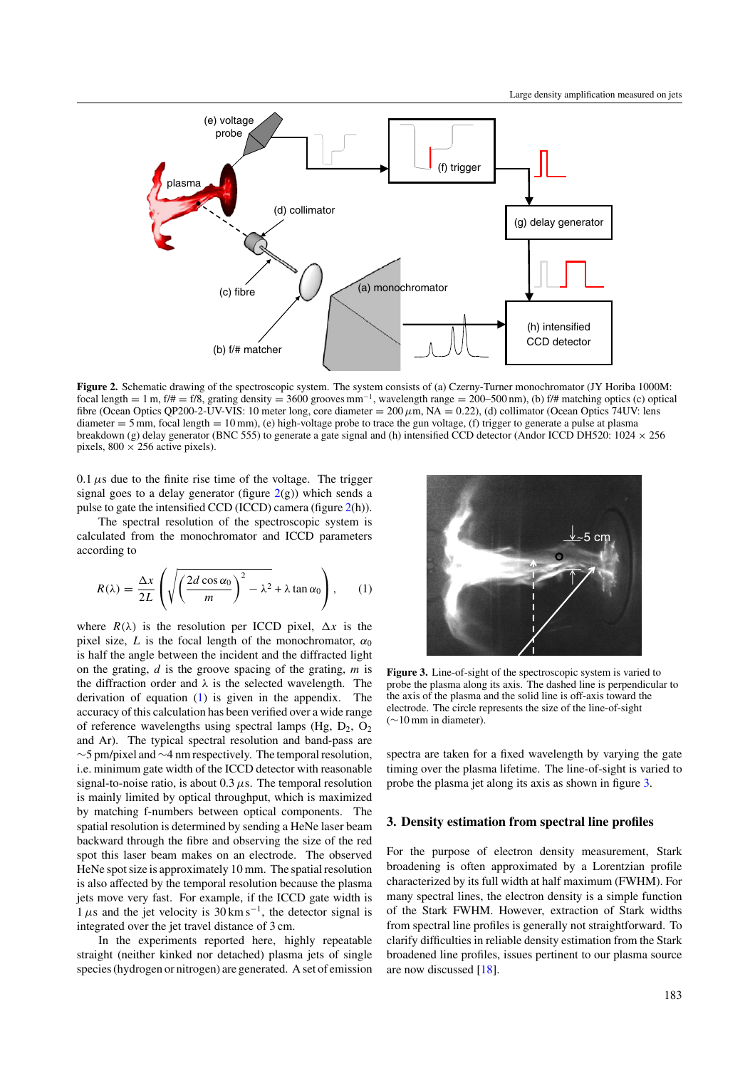<span id="page-2-0"></span>

**Figure 2.** Schematic drawing of the spectroscopic system. The system consists of (a) Czerny-Turner monochromator (JY Horiba 1000M: focal length = 1 m, f/# = f/8, grating density = 3600 grooves mm<sup>-1</sup>, wavelength range = 200–500 nm), (b) f/# matching optics (c) optical fibre (Ocean Optics QP200-2-UV-VIS: 10 meter long, core diameter = 200*µ*m, NA = 0*.*22), (d) collimator (Ocean Optics 74UV: lens diameter  $= 5$  mm, focal length  $= 10$  mm), (e) high-voltage probe to trace the gun voltage, (f) trigger to generate a pulse at plasma breakdown (g) delay generator (BNC 555) to generate a gate signal and (h) intensified CCD detector (Andor ICCD DH520:  $1024 \times 256$ pixels,  $800 \times 256$  active pixels).

 $0.1 \mu s$  due to the finite rise time of the voltage. The trigger signal goes to a delay generator (figure  $2(g)$ ) which sends a pulse to gate the intensified CCD (ICCD) camera (figure 2(h)).

The spectral resolution of the spectroscopic system is calculated from the monochromator and ICCD parameters according to

$$
R(\lambda) = \frac{\Delta x}{2L} \left( \sqrt{\left(\frac{2d \cos \alpha_0}{m}\right)^2 - \lambda^2} + \lambda \tan \alpha_0 \right), \quad (1)
$$

where  $R(\lambda)$  is the resolution per ICCD pixel,  $\Delta x$  is the pixel size, *L* is the focal length of the monochromator,  $\alpha_0$ is half the angle between the incident and the diffracted light on the grating, *d* is the groove spacing of the grating, *m* is the diffraction order and  $\lambda$  is the selected wavelength. The derivation of equation (1) is given in the appendix. The accuracy of this calculation has been verified over a wide range of reference wavelengths using spectral lamps (Hg,  $D_2$ ,  $O_2$ ) and Ar). The typical spectral resolution and band-pass are ∼5 pm/pixel and∼4 nm respectively. The temporal resolution, i.e. minimum gate width of the ICCD detector with reasonable signal-to-noise ratio, is about  $0.3 \mu s$ . The temporal resolution is mainly limited by optical throughput, which is maximized by matching f-numbers between optical components. The spatial resolution is determined by sending a HeNe laser beam backward through the fibre and observing the size of the red spot this laser beam makes on an electrode. The observed HeNe spot size is approximately 10 mm. The spatial resolution is also affected by the temporal resolution because the plasma jets move very fast. For example, if the ICCD gate width is  $1 \mu s$  and the jet velocity is  $30 \text{ km s}^{-1}$ , the detector signal is integrated over the jet travel distance of 3 cm.

In the experiments reported here, highly repeatable straight (neither kinked nor detached) plasma jets of single species (hydrogen or nitrogen) are generated. A set of emission



**Figure 3.** Line-of-sight of the spectroscopic system is varied to probe the plasma along its axis. The dashed line is perpendicular to the axis of the plasma and the solid line is off-axis toward the electrode. The circle represents the size of the line-of-sight (∼10 mm in diameter).

spectra are taken for a fixed wavelength by varying the gate timing over the plasma lifetime. The line-of-sight is varied to probe the plasma jet along its axis as shown in figure 3.

#### **3. Density estimation from spectral line profiles**

For the purpose of electron density measurement, Stark broadening is often approximated by a Lorentzian profile characterized by its full width at half maximum (FWHM). For many spectral lines, the electron density is a simple function of the Stark FWHM. However, extraction of Stark widths from spectral line profiles is generally not straightforward. To clarify difficulties in reliable density estimation from the Stark broadened line profiles, issues pertinent to our plasma source are now discussed [\[18\]](#page-7-0).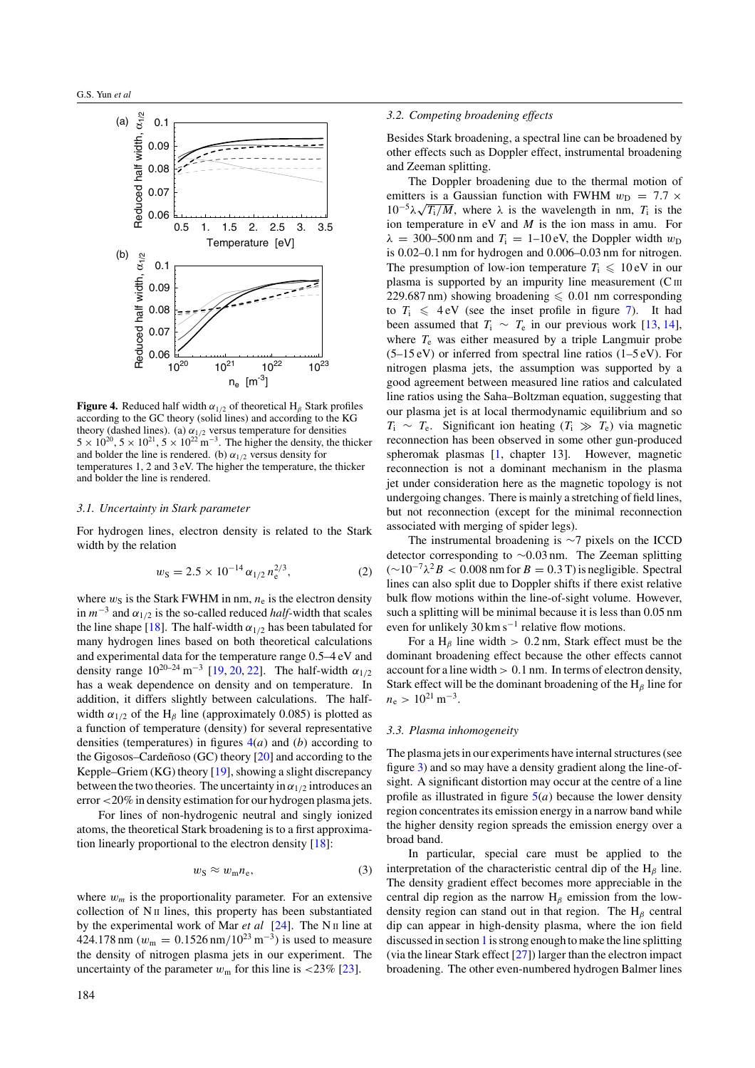<span id="page-3-0"></span>

**Figure 4.** Reduced half width  $\alpha_{1/2}$  of theoretical  $H_\beta$  Stark profiles according to the GC theory (solid lines) and according to the KG theory (dashed lines). (a)  $\alpha_{1/2}$  versus temperature for densities  $5 \times 10^{20}$ ,  $5 \times 10^{21}$ ,  $5 \times 10^{22}$  m<sup>-3</sup>. The higher the density, the thicker and bolder the line is rendered. (b)  $\alpha_{1/2}$  versus density for temperatures 1, 2 and 3 eV. The higher the temperature, the thicker and bolder the line is rendered.

#### *3.1. Uncertainty in Stark parameter*

For hydrogen lines, electron density is related to the Stark width by the relation

$$
w_{\rm S} = 2.5 \times 10^{-14} \, \alpha_{1/2} \, n_{\rm e}^{2/3},\tag{2}
$$

where  $w_S$  is the Stark FWHM in nm,  $n_e$  is the electron density in  $m^{-3}$  and  $\alpha_{1/2}$  is the so-called reduced *half*-width that scales the line shape [\[18\]](#page-7-0). The half-width  $\alpha_{1/2}$  has been tabulated for many hydrogen lines based on both theoretical calculations and experimental data for the temperature range 0.5–4 eV and density range  $10^{20-24}$  m<sup>-3</sup> [\[19,](#page-7-0) [20,](#page-7-0) [22\]](#page-7-0). The half-width  $\alpha_{1/2}$ has a weak dependence on density and on temperature. In addition, it differs slightly between calculations. The halfwidth  $\alpha_{1/2}$  of the H<sub>β</sub> line (approximately 0.085) is plotted as a function of temperature (density) for several representative densities (temperatures) in figures 4(*a*) and (*b*) according to the Gigosos–Cardenoso (GC) theory  $[20]$  $[20]$  and according to the Kepple–Griem (KG) theory [\[19\]](#page-7-0), showing a slight discrepancy between the two theories. The uncertainty in  $\alpha_{1/2}$  introduces an error *<*20% in density estimation for our hydrogen plasma jets.

For lines of non-hydrogenic neutral and singly ionized atoms, the theoretical Stark broadening is to a first approximation linearly proportional to the electron density [\[18\]](#page-7-0):

$$
w_{\rm S} \approx w_{\rm m} n_{\rm e},\tag{3}
$$

where  $w_m$  is the proportionality parameter. For an extensive collection of  $N$  II lines, this property has been substantiated by the experimental work of Mar *et al* [\[24\]](#page-7-0). The N<sub>II</sub> line at 424.178 nm ( $w_m = 0.1526$  nm/ $10^{23}$  m<sup>-3</sup>) is used to measure the density of nitrogen plasma jets in our experiment. The uncertainty of the parameter  $w_m$  for this line is  $\langle 23\% \, [23] \rangle$  $\langle 23\% \, [23] \rangle$  $\langle 23\% \, [23] \rangle$ .

#### *3.2. Competing broadening effects*

Besides Stark broadening, a spectral line can be broadened by other effects such as Doppler effect, instrumental broadening and Zeeman splitting.

The Doppler broadening due to the thermal motion of emitters is a Gaussian function with FWHM  $w_D = 7.7 \times$  $10^{-5}\lambda\sqrt{T_i/M}$ , where  $\lambda$  is the wavelength in nm,  $T_i$  is the ion temperature in eV and *M* is the ion mass in amu. For  $\lambda = 300-500$  nm and  $T_i = 1-10$  eV, the Doppler width  $w_D$ is 0.02–0.1 nm for hydrogen and 0.006–0.03 nm for nitrogen. The presumption of low-ion temperature  $T_i \leq 10 \text{ eV}$  in our plasma is supported by an impurity line measurement  $(C \text{III})$ 229.687 nm) showing broadening  $\leq 0.01$  nm corresponding to  $T_i \leq 4$  eV (see the inset profile in figure [7\)](#page-5-0). It had been assumed that  $T_i \sim T_e$  in our previous work [\[13,](#page-7-0) [14\]](#page-7-0), where  $T_e$  was either measured by a triple Langmuir probe  $(5-15 \text{ eV})$  or inferred from spectral line ratios  $(1-5 \text{ eV})$ . For nitrogen plasma jets, the assumption was supported by a good agreement between measured line ratios and calculated line ratios using the Saha–Boltzman equation, suggesting that our plasma jet is at local thermodynamic equilibrium and so  $T_i \sim T_e$ . Significant ion heating  $(T_i \gg T_e)$  via magnetic reconnection has been observed in some other gun-produced spheromak plasmas [\[1,](#page-6-0) chapter 13]. However, magnetic reconnection is not a dominant mechanism in the plasma jet under consideration here as the magnetic topology is not undergoing changes. There is mainly a stretching of field lines, but not reconnection (except for the minimal reconnection associated with merging of spider legs).

The instrumental broadening is ∼7 pixels on the ICCD detector corresponding to ∼0*.*03 nm. The Zeeman splitting (∼10−7*λ*2*B <* <sup>0</sup>*.*008 nm for*<sup>B</sup>* <sup>=</sup> <sup>0</sup>*.*3 T) is negligible. Spectral lines can also split due to Doppler shifts if there exist relative bulk flow motions within the line-of-sight volume. However, such a splitting will be minimal because it is less than 0.05 nm even for unlikely  $30 \text{ km s}^{-1}$  relative flow motions.

For a H<sub>β</sub> line width  $> 0.2$  nm, Stark effect must be the dominant broadening effect because the other effects cannot account for a line width *>* 0*.*1 nm. In terms of electron density, Stark effect will be the dominant broadening of the H*<sup>β</sup>* line for  $n_e > 10^{21}$  m<sup>-3</sup>.

#### *3.3. Plasma inhomogeneity*

The plasma jets in our experiments have internal structures (see figure [3\)](#page-2-0) and so may have a density gradient along the line-ofsight. A significant distortion may occur at the centre of a line profile as illustrated in figure  $5(a)$  $5(a)$  because the lower density region concentrates its emission energy in a narrow band while the higher density region spreads the emission energy over a broad band.

In particular, special care must be applied to the interpretation of the characteristic central dip of the H*<sup>β</sup>* line. The density gradient effect becomes more appreciable in the central dip region as the narrow H*<sup>β</sup>* emission from the lowdensity region can stand out in that region. The H*<sup>β</sup>* central dip can appear in high-density plasma, where the ion field discussed in section [1](#page-0-0) is strong enough to make the line splitting (via the linear Stark effect [\[27\]](#page-7-0)) larger than the electron impact broadening. The other even-numbered hydrogen Balmer lines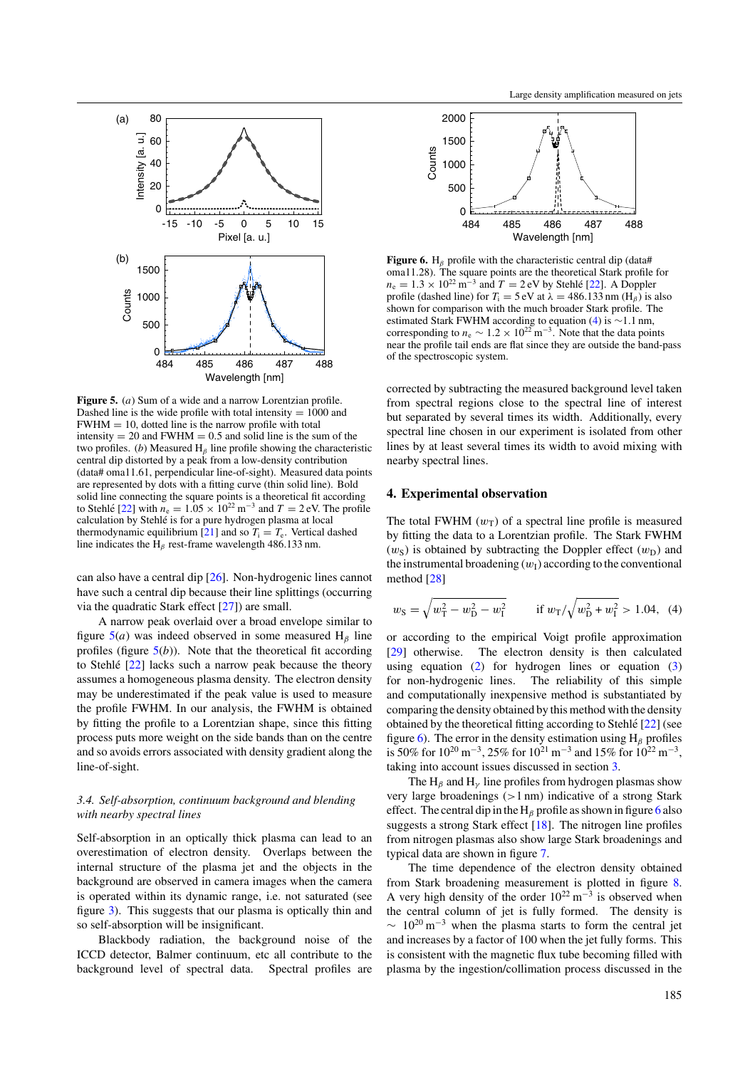<span id="page-4-0"></span>

**Figure 5.** (*a*) Sum of a wide and a narrow Lorentzian profile. Dashed line is the wide profile with total intensity  $= 1000$  and  $FWHM = 10$ , dotted line is the narrow profile with total intensity  $= 20$  and FWHM  $= 0.5$  and solid line is the sum of the two profiles. (*b*) Measured H*<sup>β</sup>* line profile showing the characteristic central dip distorted by a peak from a low-density contribution (data# oma11.61, perpendicular line-of-sight). Measured data points are represented by dots with a fitting curve (thin solid line). Bold solid line connecting the square points is a theoretical fit according to Stehlé [[22\]](#page-7-0) with  $n_e = 1.05 \times 10^{22} \text{ m}^{-3}$  and  $T = 2 \text{ eV}$ . The profile calculation by Stehle is for a pure hydrogen plasma at local ´ thermodynamic equilibrium [\[21\]](#page-7-0) and so  $T_i = T_e$ . Vertical dashed line indicates the H*<sup>β</sup>* rest-frame wavelength 486.133 nm.

can also have a central dip [\[26\]](#page-7-0). Non-hydrogenic lines cannot have such a central dip because their line splittings (occurring via the quadratic Stark effect [\[27\]](#page-7-0)) are small.

A narrow peak overlaid over a broad envelope similar to figure  $5(a)$  was indeed observed in some measured H<sub>β</sub> line profiles (figure  $5(b)$ ). Note that the theoretical fit according to Stehlé  $[22]$  $[22]$  lacks such a narrow peak because the theory assumes a homogeneous plasma density. The electron density may be underestimated if the peak value is used to measure the profile FWHM. In our analysis, the FWHM is obtained by fitting the profile to a Lorentzian shape, since this fitting process puts more weight on the side bands than on the centre and so avoids errors associated with density gradient along the line-of-sight.

# *3.4. Self-absorption, continuum background and blending with nearby spectral lines*

Self-absorption in an optically thick plasma can lead to an overestimation of electron density. Overlaps between the internal structure of the plasma jet and the objects in the background are observed in camera images when the camera is operated within its dynamic range, i.e. not saturated (see figure [3\)](#page-2-0). This suggests that our plasma is optically thin and so self-absorption will be insignificant.

Blackbody radiation, the background noise of the ICCD detector, Balmer continuum, etc all contribute to the background level of spectral data. Spectral profiles are



**Figure 6.** H<sub>β</sub> profile with the characteristic central dip (data# oma11.28). The square points are the theoretical Stark profile for  $n_e = 1.3 \times 10^{22} \text{ m}^{-3}$  and  $T = 2 \text{ eV}$  by Stehle [[22\]](#page-7-0). A Doppler profile (dashed line) for  $T_i = 5 \text{ eV}$  at  $\lambda = 486.133 \text{ nm}$  (H<sub>*β*</sub>) is also shown for comparison with the much broader Stark profile. The estimated Stark FWHM according to equation (4) is ∼1*.*1 nm, corresponding to  $n_e \sim 1.2 \times 10^{22} \text{ m}^{-3}$ . Note that the data points near the profile tail ends are flat since they are outside the band-pass of the spectroscopic system.

corrected by subtracting the measured background level taken from spectral regions close to the spectral line of interest but separated by several times its width. Additionally, every spectral line chosen in our experiment is isolated from other lines by at least several times its width to avoid mixing with nearby spectral lines.

#### **4. Experimental observation**

The total FWHM  $(w_T)$  of a spectral line profile is measured by fitting the data to a Lorentzian profile. The Stark FWHM  $(w<sub>S</sub>)$  is obtained by subtracting the Doppler effect  $(w<sub>D</sub>)$  and the instrumental broadening  $(w<sub>I</sub>)$  according to the conventional method [\[28\]](#page-7-0)

$$
w_{\rm S} = \sqrt{w_{\rm T}^2 - w_{\rm D}^2 - w_{\rm I}^2} \qquad \text{if } w_{\rm T} / \sqrt{w_{\rm D}^2 + w_{\rm I}^2} > 1.04, \tag{4}
$$

or according to the empirical Voigt profile approximation [\[29\]](#page-7-0) otherwise. The electron density is then calculated using equation  $(2)$  for hydrogen lines or equation  $(3)$ for non-hydrogenic lines. The reliability of this simple and computationally inexpensive method is substantiated by comparing the density obtained by this method with the density obtained by the theoretical fitting according to Stehle  $[22]$  $[22]$  (see figure 6). The error in the density estimation using H*<sup>β</sup>* profiles is 50% for  $10^{20}$  m<sup>-3</sup>, 25% for  $10^{21}$  m<sup>-3</sup> and 15% for  $10^{22}$  m<sup>-3</sup>, taking into account issues discussed in section [3.](#page-2-0)

The  $H_\beta$  and  $H_\gamma$  line profiles from hydrogen plasmas show very large broadenings (*>*1 nm) indicative of a strong Stark effect. The central dip in the  $H_\beta$  profile as shown in figure 6 also suggests a strong Stark effect [\[18\]](#page-7-0). The nitrogen line profiles from nitrogen plasmas also show large Stark broadenings and typical data are shown in figure [7.](#page-5-0)

The time dependence of the electron density obtained from Stark broadening measurement is plotted in figure [8.](#page-5-0) A very high density of the order  $10^{22}$  m<sup>-3</sup> is observed when the central column of jet is fully formed. The density is  $\sim 10^{20} \text{ m}^{-3}$  when the plasma starts to form the central jet and increases by a factor of 100 when the jet fully forms. This is consistent with the magnetic flux tube becoming filled with plasma by the ingestion/collimation process discussed in the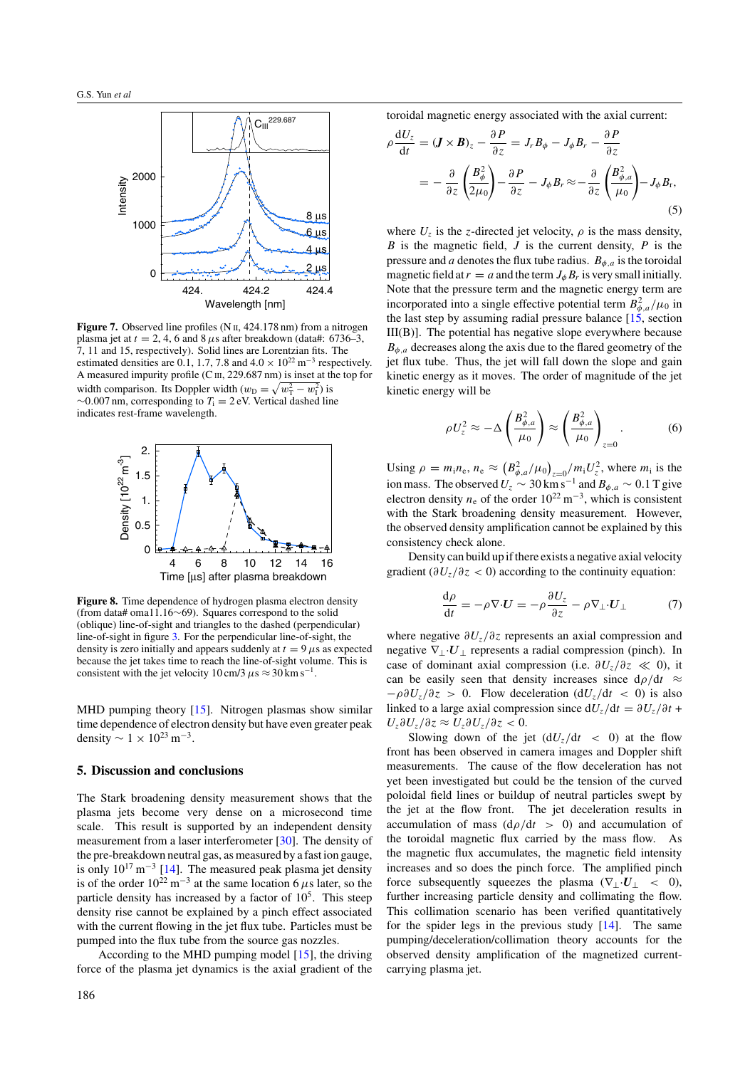<span id="page-5-0"></span>

**Figure 7.** Observed line profiles (N II, 424.178 nm) from a nitrogen plasma jet at  $t = 2, 4, 6$  and  $8 \mu s$  after breakdown (data#: 6736–3, 7, 11 and 15, respectively). Solid lines are Lorentzian fits. The estimated densities are 0.1, 1.7, 7.8 and  $4.0 \times 10^{22}$  m<sup>-3</sup> respectively. A measured impurity profile (C III, 229.687 nm) is inset at the top for width comparison. Its Doppler width  $(w_D = \sqrt{w_T^2 - w_I^2})$  is ∼0*.*007 nm, corresponding to *T*<sup>i</sup> = 2 eV. Vertical dashed line indicates rest-frame wavelength.



**Figure 8.** Time dependence of hydrogen plasma electron density (from data# oma11.16∼69). Squares correspond to the solid (oblique) line-of-sight and triangles to the dashed (perpendicular) line-of-sight in figure [3.](#page-2-0) For the perpendicular line-of-sight, the density is zero initially and appears suddenly at  $t = 9 \mu s$  as expected because the jet takes time to reach the line-of-sight volume. This is consistent with the jet velocity 10 cm/3  $\mu$ s  $\approx$  30 km s<sup>-1</sup>.

MHD pumping theory [\[15\]](#page-7-0). Nitrogen plasmas show similar time dependence of electron density but have even greater peak density  $\sim 1 \times 10^{23}$  m<sup>-3</sup>.

#### **5. Discussion and conclusions**

The Stark broadening density measurement shows that the plasma jets become very dense on a microsecond time scale. This result is supported by an independent density measurement from a laser interferometer [\[30\]](#page-7-0). The density of the pre-breakdown neutral gas, as measured by a fast ion gauge, is only  $10^{17}$  m<sup>-3</sup> [\[14\]](#page-7-0). The measured peak plasma jet density is of the order  $10^{22}$  m<sup>-3</sup> at the same location 6  $\mu$ s later, so the particle density has increased by a factor of  $10<sup>5</sup>$ . This steep density rise cannot be explained by a pinch effect associated with the current flowing in the jet flux tube. Particles must be pumped into the flux tube from the source gas nozzles.

According to the MHD pumping model [\[15\]](#page-7-0), the driving force of the plasma jet dynamics is the axial gradient of the toroidal magnetic energy associated with the axial current:

$$
\rho \frac{\mathrm{d}U_z}{\mathrm{d}t} = (\mathbf{J} \times \mathbf{B})_z - \frac{\partial P}{\partial z} = J_r B_\phi - J_\phi B_r - \frac{\partial P}{\partial z} \n= -\frac{\partial}{\partial z} \left( \frac{B_\phi^2}{2\mu_0} \right) - \frac{\partial P}{\partial z} - J_\phi B_r \approx -\frac{\partial}{\partial z} \left( \frac{B_{\phi,a}^2}{\mu_0} \right) - J_\phi B_r,
$$
\n(5)

where  $U_z$  is the *z*-directed jet velocity,  $\rho$  is the mass density, *B* is the magnetic field, *J* is the current density, *P* is the pressure and *a* denotes the flux tube radius.  $B_{\phi, a}$  is the toroidal magnetic field at  $r = a$  and the term  $J_{\phi} B_r$  is very small initially. Note that the pressure term and the magnetic energy term are incorporated into a single effective potential term  $B_{\phi,a}^2/\mu_0$  in the last step by assuming radial pressure balance  $[15]$ , section III(B)]. The potential has negative slope everywhere because  $B_{\phi,a}$  decreases along the axis due to the flared geometry of the jet flux tube. Thus, the jet will fall down the slope and gain kinetic energy as it moves. The order of magnitude of the jet kinetic energy will be

$$
\rho U_z^2 \approx -\Delta \left(\frac{B_{\phi,a}^2}{\mu_0}\right) \approx \left(\frac{B_{\phi,a}^2}{\mu_0}\right)_{z=0}.
$$
 (6)

Using  $\rho = m_i n_e$ ,  $n_e \approx (B_{\phi,a}^2/\mu_0)_{z=0}^2/m_i U_z^2$ , where  $m_i$  is the ion mass. The observed  $U_z \sim 30 \text{ km s}^{-1}$  and  $B_{\phi,a} \sim 0.1 \text{ T}$  give electron density  $n_e$  of the order  $10^{22}$  m<sup>-3</sup>, which is consistent with the Stark broadening density measurement. However, the observed density amplification cannot be explained by this consistency check alone.

Density can build up if there exists a negative axial velocity gradient ( $\partial U_z/\partial z < 0$ ) according to the continuity equation:

$$
\frac{\mathrm{d}\rho}{\mathrm{d}t} = -\rho \nabla \cdot \mathbf{U} = -\rho \frac{\partial U_z}{\partial z} - \rho \nabla_{\perp} \cdot \mathbf{U}_{\perp} \tag{7}
$$

where negative *∂Uz/∂z* represents an axial compression and negative  $\nabla_{\perp} \cdot \mathbf{U}_{\perp}$  represents a radial compression (pinch). In case of dominant axial compression (i.e.  $\partial U_z/\partial z \ll 0$ ), it can be easily seen that density increases since  $d\rho/dt \approx$ −*ρ∂Uz/∂z >* 0. Flow deceleration (d*Uz/*d*t <* 0) is also linked to a large axial compression since  $dU_z/dt = \partial U_z/\partial t$  + *Uz∂Uz/∂z* ≈ *Uz∂Uz/∂z <* 0.

Slowing down of the jet  $(dU_z/dt < 0)$  at the flow front has been observed in camera images and Doppler shift measurements. The cause of the flow deceleration has not yet been investigated but could be the tension of the curved poloidal field lines or buildup of neutral particles swept by the jet at the flow front. The jet deceleration results in accumulation of mass  $(d\rho/dt > 0)$  and accumulation of the toroidal magnetic flux carried by the mass flow. As the magnetic flux accumulates, the magnetic field intensity increases and so does the pinch force. The amplified pinch force subsequently squeezes the plasma ( $\nabla$ <sub>⊥</sub>·*U*<sub>⊥</sub> *<* 0), further increasing particle density and collimating the flow. This collimation scenario has been verified quantitatively for the spider legs in the previous study [\[14\]](#page-7-0). The same pumping/deceleration/collimation theory accounts for the observed density amplification of the magnetized currentcarrying plasma jet.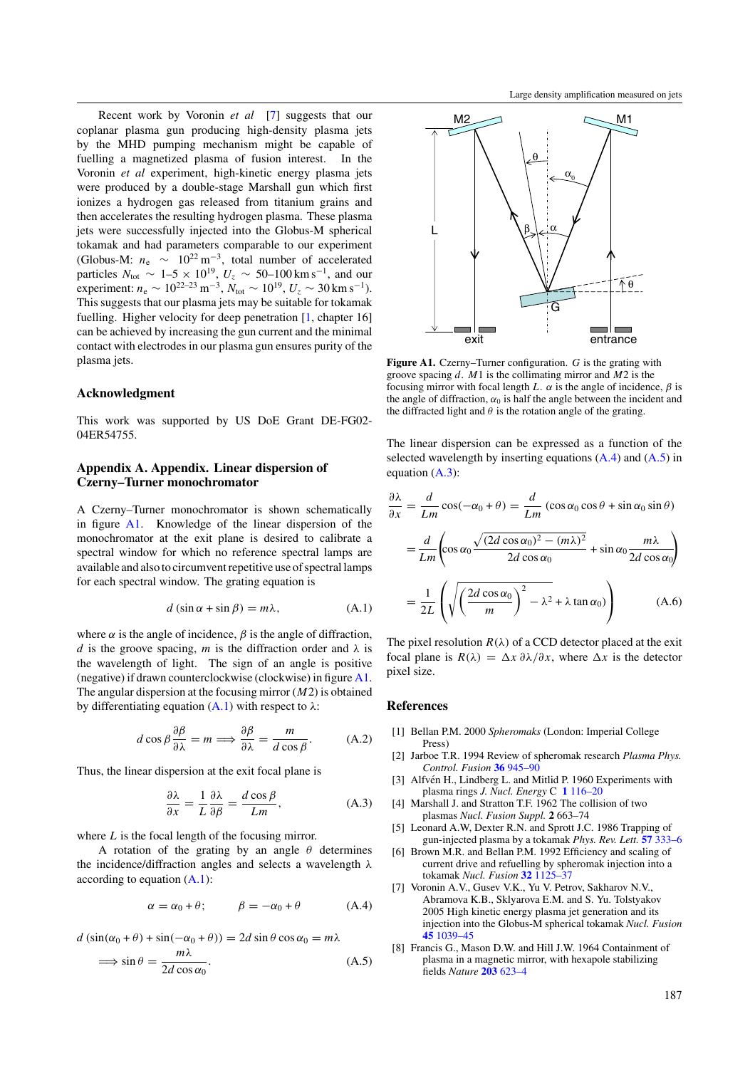<span id="page-6-0"></span>Recent work by Voronin *et al* [7] suggests that our coplanar plasma gun producing high-density plasma jets by the MHD pumping mechanism might be capable of fuelling a magnetized plasma of fusion interest. In the Voronin *et al* experiment, high-kinetic energy plasma jets were produced by a double-stage Marshall gun which first ionizes a hydrogen gas released from titanium grains and then accelerates the resulting hydrogen plasma. These plasma jets were successfully injected into the Globus-M spherical tokamak and had parameters comparable to our experiment (Globus-M:  $n_e \sim 10^{22} \text{ m}^{-3}$ , total number of accelerated particles  $N_{\text{tot}} \sim 1-5 \times 10^{19}$ ,  $U_z \sim 50-100 \text{ km s}^{-1}$ , and our experiment:  $n_e \sim 10^{22-23} \,\mathrm{m}^{-3}$ ,  $N_{\text{tot}} \sim 10^{19}$ ,  $U_z \sim 30 \,\mathrm{km \, s^{-1}}$ ). This suggests that our plasma jets may be suitable for tokamak fuelling. Higher velocity for deep penetration [1, chapter 16] can be achieved by increasing the gun current and the minimal contact with electrodes in our plasma gun ensures purity of the plasma jets.

# **Acknowledgment**

This work was supported by US DoE Grant DE-FG02- 04ER54755.

# **Appendix A. Appendix. Linear dispersion of Czerny–Turner monochromator**

A Czerny–Turner monochromator is shown schematically in figure [A1.](#page-1-0) Knowledge of the linear dispersion of the monochromator at the exit plane is desired to calibrate a spectral window for which no reference spectral lamps are available and also to circumvent repetitive use of spectral lamps for each spectral window. The grating equation is

$$
d\left(\sin\alpha + \sin\beta\right) = m\lambda, \tag{A.1}
$$

where  $\alpha$  is the angle of incidence,  $\beta$  is the angle of diffraction, *d* is the groove spacing, *m* is the diffraction order and  $\lambda$  is the wavelength of light. The sign of an angle is positive (negative) if drawn counterclockwise (clockwise) in figure [A1.](#page-1-0) The angular dispersion at the focusing mirror (*M*2) is obtained by differentiating equation  $(A.1)$  with respect to  $\lambda$ :

$$
d\cos\beta \frac{\partial \beta}{\partial \lambda} = m \Longrightarrow \frac{\partial \beta}{\partial \lambda} = \frac{m}{d\cos\beta}.
$$
 (A.2)

Thus, the linear dispersion at the exit focal plane is

$$
\frac{\partial \lambda}{\partial x} = \frac{1}{L} \frac{\partial \lambda}{\partial \beta} = \frac{d \cos \beta}{Lm},
$$
 (A.3)

where *L* is the focal length of the focusing mirror.

A rotation of the grating by an angle *θ* determines the incidence/diffraction angles and selects a wavelength *λ* according to equation (A.1):

$$
\alpha = \alpha_0 + \theta; \qquad \beta = -\alpha_0 + \theta \qquad (A.4)
$$

 $d$   $(\sin(\alpha_0 + \theta) + \sin(-\alpha_0 + \theta)) = 2d \sin \theta \cos \alpha_0 = m\lambda$ 

$$
\implies \sin \theta = \frac{m\lambda}{2d\cos \alpha_0}.
$$
 (A.5)



**Figure A1.** Czerny–Turner configuration. *G* is the grating with groove spacing *d*. *M*1 is the collimating mirror and *M*2 is the focusing mirror with focal length *L*.  $\alpha$  is the angle of incidence,  $\beta$  is the angle of diffraction,  $\alpha_0$  is half the angle between the incident and the diffracted light and  $\theta$  is the rotation angle of the grating.

The linear dispersion can be expressed as a function of the selected wavelength by inserting equations  $(A.4)$  and  $(A.5)$  in equation  $(A.3)$ :

$$
\frac{\partial \lambda}{\partial x} = \frac{d}{Lm} \cos(-\alpha_0 + \theta) = \frac{d}{Lm} \left( \cos \alpha_0 \cos \theta + \sin \alpha_0 \sin \theta \right)
$$

$$
= \frac{d}{Lm} \left( \cos \alpha_0 \frac{\sqrt{(2d \cos \alpha_0)^2 - (m\lambda)^2}}{2d \cos \alpha_0} + \sin \alpha_0 \frac{m\lambda}{2d \cos \alpha_0} \right)
$$

$$
= \frac{1}{2L} \left( \sqrt{\left( \frac{2d \cos \alpha_0}{m} \right)^2 - \lambda^2} + \lambda \tan \alpha_0 \right) \tag{A.6}
$$

The pixel resolution  $R(\lambda)$  of a CCD detector placed at the exit focal plane is  $R(\lambda) = \Delta x \partial \lambda / \partial x$ , where  $\Delta x$  is the detector pixel size.

# **References**

- [1] Bellan P.M. 2000 *Spheromaks* (London: Imperial College Press)
- [2] Jarboe T.R. 1994 Review of spheromak research *Plasma Phys. Control. Fusion* **36** [945–90](http://dx.doi.org/10.1088/0741-3335/36/6/002)
- [3] Alfvén H., Lindberg L. and Mitlid P. 1960 Experiments with plasma rings *J. Nucl. Energy* C **1** [116–20](http://dx.doi.org/10.1088/0368-3281/1/3/302)
- [4] Marshall J. and Stratton T.F. 1962 The collision of two plasmas *Nucl. Fusion Suppl.* **2** 663–74
- [5] Leonard A.W, Dexter R.N. and Sprott J.C. 1986 Trapping of gun-injected plasma by a tokamak *Phys. Rev. Lett.* **57** [333–6](http://dx.doi.org/10.1103/PhysRevLett.57.333)
- [6] Brown M.R. and Bellan P.M. 1992 Efficiency and scaling of current drive and refuelling by spheromak injection into a tokamak *Nucl. Fusion* **32** [1125–37](http://dx.doi.org/10.1088/0029-5515/32/7/I04)
- [7] Voronin A.V., Gusev V.K., Yu V. Petrov, Sakharov N.V., Abramova K.B., Sklyarova E.M. and S. Yu. Tolstyakov 2005 High kinetic energy plasma jet generation and its injection into the Globus-M spherical tokamak *Nucl. Fusion* **45** [1039–45](http://dx.doi.org/10.1088/0029-5515/45/9/002)
- [8] Francis G., Mason D.W. and Hill J.W. 1964 Containment of plasma in a magnetic mirror, with hexapole stabilizing fields *Nature* **203** [623–4](http://dx.doi.org/10.1038/203623a0)